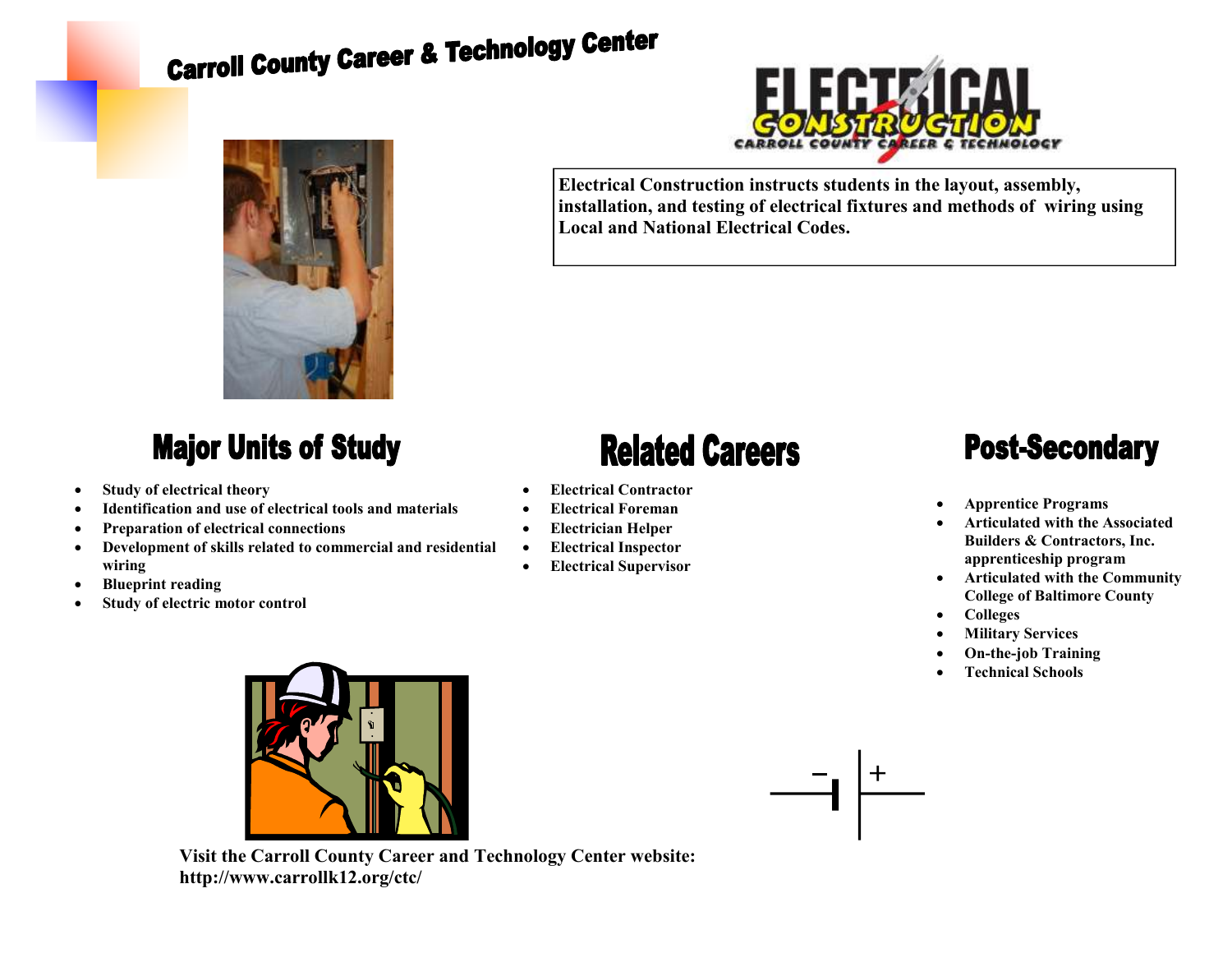# **Carroll County Career & Technology Center**



#### **Major Units of Study**

- **Study of electrical theory**
- **Identification and use of electrical tools and materials**
- **Preparation of electrical connections**
- **Development of skills related to commercial and residential wiring**
- **Blueprint reading**
- **Study of electric motor control**



**Electrical Construction instructs students in the layout, assembly, installation, and testing of electrical fixtures and methods of wiring using Local and National Electrical Codes.** 

## **Related Careers**

- **Electrical Contractor**
- **Electrical Foreman**
- **Electrician Helper**
- **Electrical Inspector**
- **Electrical Supervisor**

### **Post-Secondary**

- **Apprentice Programs**
- **Articulated with the Associated Builders & Contractors, Inc. apprenticeship program**
- **Articulated with the Community College of Baltimore County**
- **Colleges**
- **Military Services**
- **On-the-job Training**
- **Technical Schools**



**Visit the Carroll County Career and Technology Center website: http://www.carrollk12.org/ctc/**